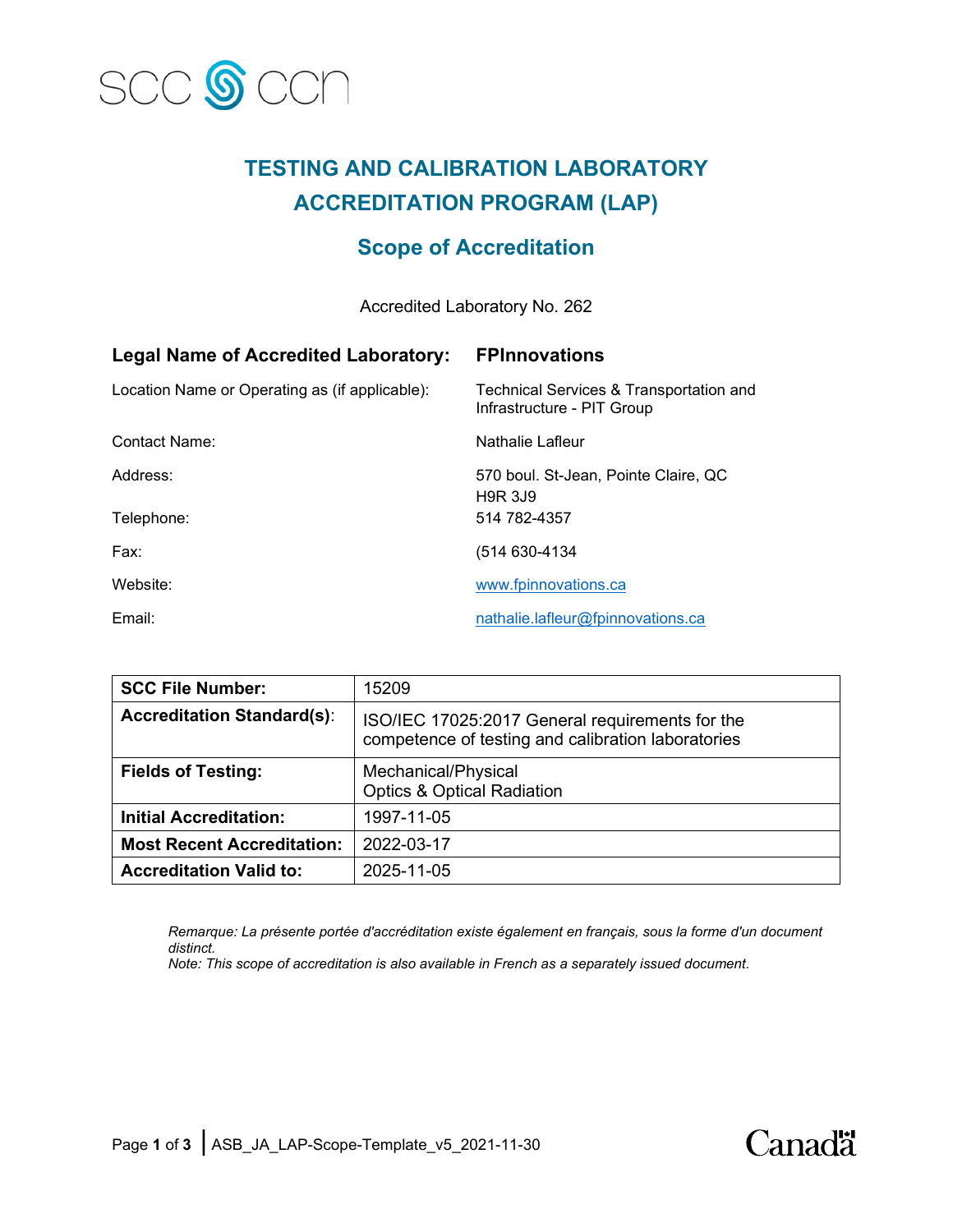

# **TESTING AND CALIBRATION LABORATORY ACCREDITATION PROGRAM (LAP)**

# **Scope of Accreditation**

Accredited Laboratory No. 262

| <b>Legal Name of Accredited Laboratory:</b>    | <b>FPInnovations</b>                                                  |
|------------------------------------------------|-----------------------------------------------------------------------|
| Location Name or Operating as (if applicable): | Technical Services & Transportation and<br>Infrastructure - PIT Group |
| Contact Name:                                  | Nathalie Lafleur                                                      |
| Address:                                       | 570 boul. St-Jean, Pointe Claire, QC<br><b>H9R 3J9</b>                |
| Telephone:                                     | 514 782-4357                                                          |
| Fax:                                           | (514 630-4134                                                         |
| Website:                                       | www.fpinnovations.ca                                                  |
| Email:                                         | nathalie.lafleur@fpinnovations.ca                                     |

| <b>SCC File Number:</b>           | 15209                                                                                                 |
|-----------------------------------|-------------------------------------------------------------------------------------------------------|
| <b>Accreditation Standard(s):</b> | ISO/IEC 17025:2017 General requirements for the<br>competence of testing and calibration laboratories |
| <b>Fields of Testing:</b>         | Mechanical/Physical<br><b>Optics &amp; Optical Radiation</b>                                          |
| <b>Initial Accreditation:</b>     | 1997-11-05                                                                                            |
| <b>Most Recent Accreditation:</b> | 2022-03-17                                                                                            |
| <b>Accreditation Valid to:</b>    | 2025-11-05                                                                                            |

*Remarque: La présente portée d'accréditation existe également en français, sous la forme d'un document distinct.*

Canadä<sup>r</sup>

*Note: This scope of accreditation is also available in French as a separately issued document.*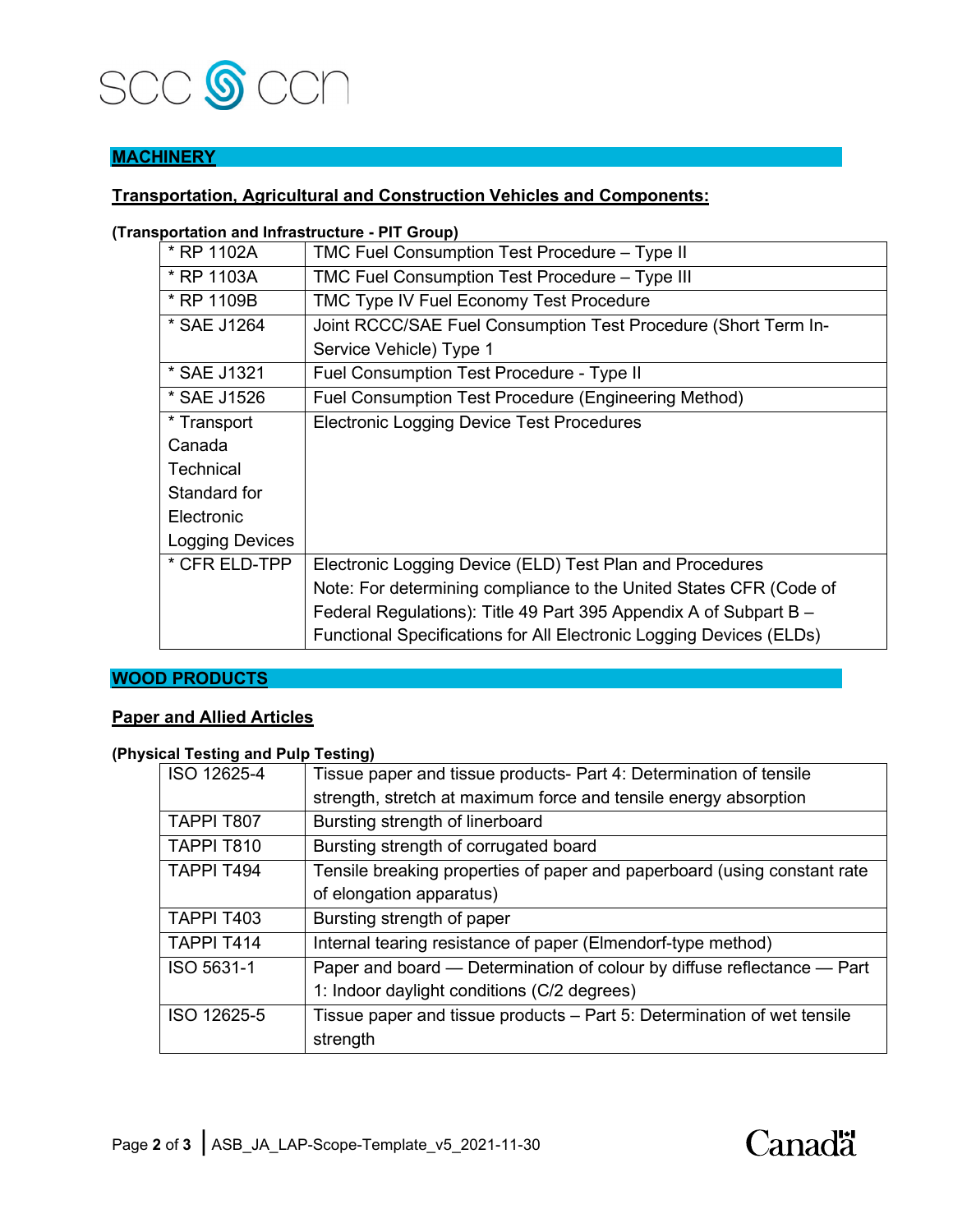

# **MACHINERY**

## **Transportation, Agricultural and Construction Vehicles and Components:**

#### **(Transportation and Infrastructure - PIT Group)**

| * RP 1102A       | TMC Fuel Consumption Test Procedure - Type II                       |
|------------------|---------------------------------------------------------------------|
| * RP 1103A       | TMC Fuel Consumption Test Procedure - Type III                      |
| * RP 1109B       | TMC Type IV Fuel Economy Test Procedure                             |
| * SAE J1264      | Joint RCCC/SAE Fuel Consumption Test Procedure (Short Term In-      |
|                  | Service Vehicle) Type 1                                             |
| * SAE J1321      | Fuel Consumption Test Procedure - Type II                           |
| * SAE J1526      | Fuel Consumption Test Procedure (Engineering Method)                |
| * Transport      | <b>Electronic Logging Device Test Procedures</b>                    |
| Canada           |                                                                     |
| <b>Technical</b> |                                                                     |
| Standard for     |                                                                     |
| Electronic       |                                                                     |
| Logging Devices  |                                                                     |
| * CFR ELD-TPP    | Electronic Logging Device (ELD) Test Plan and Procedures            |
|                  | Note: For determining compliance to the United States CFR (Code of  |
|                  | Federal Regulations): Title 49 Part 395 Appendix A of Subpart B -   |
|                  | Functional Specifications for All Electronic Logging Devices (ELDs) |

#### **WOOD PRODUCTS**

#### **Paper and Allied Articles**

## **(Physical Testing and Pulp Testing)**

| ISO 12625-4 | Tissue paper and tissue products- Part 4: Determination of tensile       |
|-------------|--------------------------------------------------------------------------|
|             | strength, stretch at maximum force and tensile energy absorption         |
| TAPPI T807  | Bursting strength of linerboard                                          |
| TAPPI T810  | Bursting strength of corrugated board                                    |
| TAPPI T494  | Tensile breaking properties of paper and paperboard (using constant rate |
|             | of elongation apparatus)                                                 |
| TAPPI T403  | Bursting strength of paper                                               |
| TAPPI T414  | Internal tearing resistance of paper (Elmendorf-type method)             |
| ISO 5631-1  | Paper and board — Determination of colour by diffuse reflectance — Part  |
|             | 1: Indoor daylight conditions (C/2 degrees)                              |
| ISO 12625-5 | Tissue paper and tissue products – Part 5: Determination of wet tensile  |
|             | strength                                                                 |